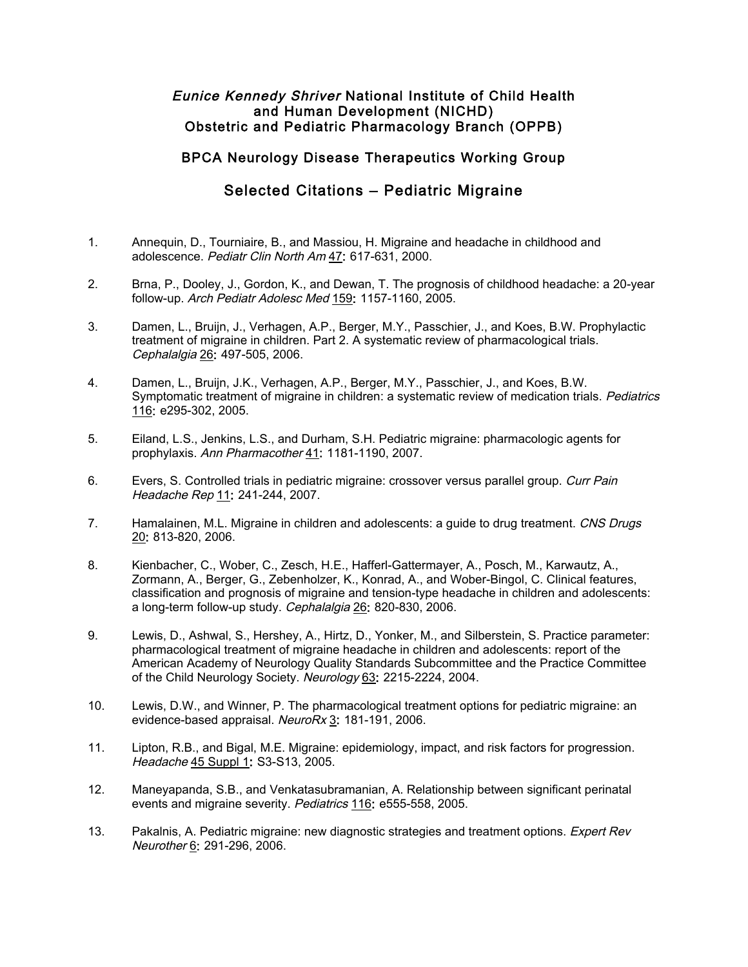## Eunice Kennedy Shriver National Institute of Child Health and Human Development (NICHD) Obstetric and Pediatric Pharmacology Branch (OPPB)

## BPCA Neurology Disease Therapeutics Working Group

## Selected Citations – Pediatric Migraine

- 1. Annequin, D., Tourniaire, B., and Massiou, H. Migraine and headache in childhood and adolescence. Pediatr Clin North Am 47: 617-631, 2000.
- 2. Brna, P., Dooley, J., Gordon, K., and Dewan, T. The prognosis of childhood headache: a 20-year follow-up. Arch Pediatr Adolesc Med 159: 1157-1160, 2005.
- 3. Damen, L., Bruijn, J., Verhagen, A.P., Berger, M.Y., Passchier, J., and Koes, B.W. Prophylactic treatment of migraine in children. Part 2. A systematic review of pharmacological trials. Cephalalgia 26: 497-505, 2006.
- 4. Damen, L., Bruijn, J.K., Verhagen, A.P., Berger, M.Y., Passchier, J., and Koes, B.W. Symptomatic treatment of migraine in children: a systematic review of medication trials. Pediatrics 116: e295-302, 2005.
- 5. Eiland, L.S., Jenkins, L.S., and Durham, S.H. Pediatric migraine: pharmacologic agents for prophylaxis. Ann Pharmacother 41: 1181-1190, 2007.
- 6. Evers, S. Controlled trials in pediatric migraine: crossover versus parallel group. Curr Pain Headache Rep 11: 241-244, 2007.
- 7. Hamalainen, M.L. Migraine in children and adolescents: a guide to drug treatment. CNS Drugs 20: 813-820, 2006.
- 8. Kienbacher, C., Wober, C., Zesch, H.E., Hafferl-Gattermayer, A., Posch, M., Karwautz, A., Zormann, A., Berger, G., Zebenholzer, K., Konrad, A., and Wober-Bingol, C. Clinical features, classification and prognosis of migraine and tension-type headache in children and adolescents: a long-term follow-up study. Cephalalgia 26: 820-830, 2006.
- 9. Lewis, D., Ashwal, S., Hershey, A., Hirtz, D., Yonker, M., and Silberstein, S. Practice parameter: pharmacological treatment of migraine headache in children and adolescents: report of the American Academy of Neurology Quality Standards Subcommittee and the Practice Committee of the Child Neurology Society. Neurology 63: 2215-2224, 2004.
- 10. Lewis, D.W., and Winner, P. The pharmacological treatment options for pediatric migraine: an evidence-based appraisal. NeuroRx 3: 181-191, 2006.
- 11. Lipton, R.B., and Bigal, M.E. Migraine: epidemiology, impact, and risk factors for progression. Headache 45 Suppl 1: S3-S13, 2005.
- 12. Maneyapanda, S.B., and Venkatasubramanian, A. Relationship between significant perinatal events and migraine severity. Pediatrics 116: e555-558, 2005.
- 13. Pakalnis, A. Pediatric migraine: new diagnostic strategies and treatment options. *Expert Rev* Neurother 6: 291-296, 2006.